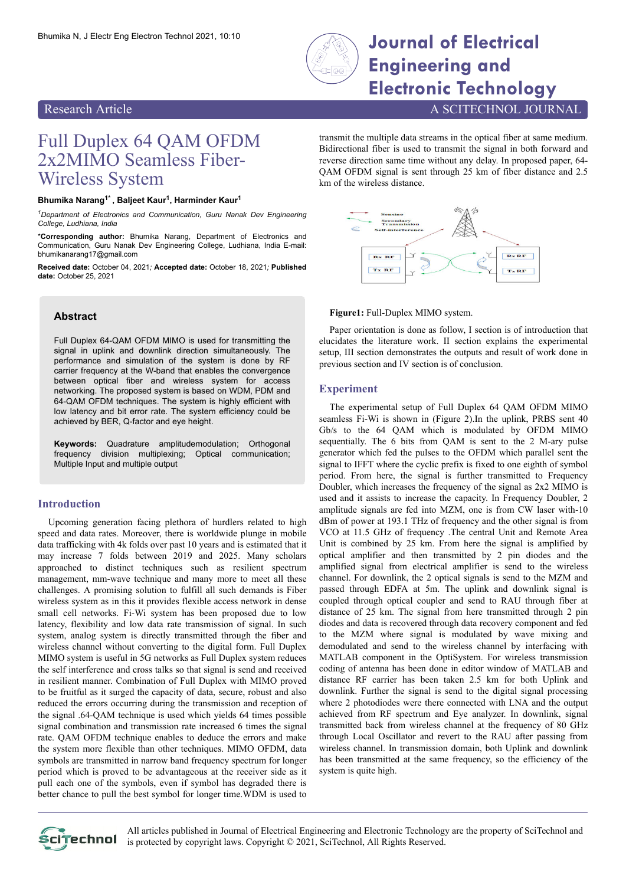

# Bhumika N, J Electr Eng Electron Technol 2021, 10:10 **Journal of Electrical Engineering and Electronic Technology**

# Research Article A SCITECHNOL JOURNAL

# Full Duplex 64 QAM OFDM 2x2MIMO Seamless Fiber-Wireless System

#### **Bhumika Narang1\* , Baljeet Kaur<sup>1</sup> , Harminder Kaur<sup>1</sup>**

*<sup>1</sup>Department of Electronics and Communication, Guru Nanak Dev Engineering College, Ludhiana, India*

\***Corresponding author:** Bhumika Narang, Department of Electronics and Communication, Guru Nanak Dev Engineering College, Ludhiana, India E-mail: bhumikanarang17@gmail.com

**Received date:** October 04, 2021*;* **Accepted date:** October 18, 2021*;* **Published date:** October 25, 2021

# **Abstract**

Full Duplex 64-QAM OFDM MIMO is used for transmitting the signal in uplink and downlink direction simultaneously. The performance and simulation of the system is done by RF carrier frequency at the W-band that enables the convergence between optical fiber and wireless system for access networking. The proposed system is based on WDM, PDM and 64-QAM OFDM techniques. The system is highly efficient with low latency and bit error rate. The system efficiency could be achieved by BER, Q-factor and eye height.

**Keywords:** Quadrature amplitudemodulation; Orthogonal frequency division multiplexing; Optical communication; Multiple Input and multiple output

### **Introduction**

Upcoming generation facing plethora of hurdlers related to high speed and data rates. Moreover, there is worldwide plunge in mobile data trafficking with 4k folds over past 10 years and is estimated that it may increase 7 folds between 2019 and 2025. Many scholars approached to distinct techniques such as resilient spectrum management, mm-wave technique and many more to meet all these challenges. A promising solution to fulfill all such demands is Fiber wireless system as in this it provides flexible access network in dense small cell networks. Fi-Wi system has been proposed due to low latency, flexibility and low data rate transmission of signal. In such system, analog system is directly transmitted through the fiber and wireless channel without converting to the digital form. Full Duplex MIMO system is useful in 5G networks as Full Duplex system reduces the self interference and cross talks so that signal is send and received in resilient manner. Combination of Full Duplex with MIMO proved to be fruitful as it surged the capacity of data, secure, robust and also reduced the errors occurring during the transmission and reception of the signal .64-QAM technique is used which yields 64 times possible signal combination and transmission rate increased 6 times the signal rate. QAM OFDM technique enables to deduce the errors and make the system more flexible than other techniques. MIMO OFDM, data symbols are transmitted in narrow band frequency spectrum for longer period which is proved to be advantageous at the receiver side as it pull each one of the symbols, even if symbol has degraded there is better chance to pull the best symbol for longer time.WDM is used to

transmit the multiple data streams in the optical fiber at same medium. Bidirectional fiber is used to transmit the signal in both forward and reverse direction same time without any delay. In proposed paper, 64- QAM OFDM signal is sent through 25 km of fiber distance and 2.5 km of the wireless distance.



#### **Figure1:** Full-Duplex MIMO system.

Paper orientation is done as follow, I section is of introduction that elucidates the literature work. II section explains the experimental setup, III section demonstrates the outputs and result of work done in previous section and IV section is of conclusion.

#### **Experiment**

The experimental setup of Full Duplex 64 QAM OFDM MIMO seamless Fi-Wi is shown in (Figure 2).In the uplink, PRBS sent 40 Gb/s to the 64 QAM which is modulated by OFDM MIMO sequentially. The 6 bits from QAM is sent to the 2 M-ary pulse generator which fed the pulses to the OFDM which parallel sent the signal to IFFT where the cyclic prefix is fixed to one eighth of symbol period. From here, the signal is further transmitted to Frequency Doubler, which increases the frequency of the signal as 2x2 MIMO is used and it assists to increase the capacity. In Frequency Doubler, 2 amplitude signals are fed into MZM, one is from CW laser with-10 dBm of power at 193.1 THz of frequency and the other signal is from VCO at 11.5 GHz of frequency .The central Unit and Remote Area Unit is combined by 25 km. From here the signal is amplified by optical amplifier and then transmitted by 2 pin diodes and the amplified signal from electrical amplifier is send to the wireless channel. For downlink, the 2 optical signals is send to the MZM and passed through EDFA at 5m. The uplink and downlink signal is coupled through optical coupler and send to RAU through fiber at distance of 25 km. The signal from here transmitted through 2 pin diodes and data is recovered through data recovery component and fed to the MZM where signal is modulated by wave mixing and demodulated and send to the wireless channel by interfacing with MATLAB component in the OptiSystem. For wireless transmission coding of antenna has been done in editor window of MATLAB and distance RF carrier has been taken 2.5 km for both Uplink and downlink. Further the signal is send to the digital signal processing where 2 photodiodes were there connected with LNA and the output achieved from RF spectrum and Eye analyzer. In downlink, signal transmitted back from wireless channel at the frequency of 80 GHz through Local Oscillator and revert to the RAU after passing from wireless channel. In transmission domain, both Uplink and downlink has been transmitted at the same frequency, so the efficiency of the system is quite high.



All articles published in Journal of Electrical Engineering and Electronic Technology are the property of SciTechnol and Scitechnol is protected by copyright laws. Copyright © 2021, SciTechnol, All Rights Reserved.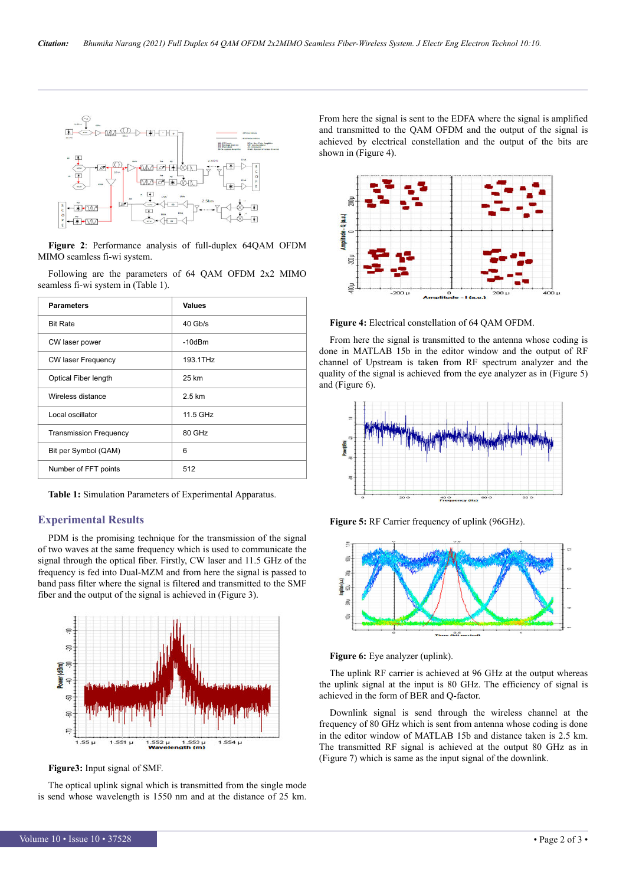

**Figure 2**: Performance analysis of full-duplex 64QAM OFDM MIMO seamless fi-wi system.

Following are the parameters of 64 QAM OFDM 2x2 MIMO seamless fi-wi system in (Table 1).

| <b>Parameters</b>             | <b>Values</b> |
|-------------------------------|---------------|
| <b>Bit Rate</b>               | $40$ Gb/s     |
| CW laser power                | $-10dBm$      |
| <b>CW laser Frequency</b>     | 193.1THz      |
| Optical Fiber length          | 25 km         |
| Wireless distance             | 2.5 km        |
| Local oscillator              | 11.5 GHz      |
| <b>Transmission Frequency</b> | 80 GHz        |
| Bit per Symbol (QAM)          | 6             |
| Number of FFT points          | 512           |

**Table 1:** Simulation Parameters of Experimental Apparatus.

### **Experimental Results**

PDM is the promising technique for the transmission of the signal of two waves at the same frequency which is used to communicate the signal through the optical fiber. Firstly, CW laser and 11.5 GHz of the frequency is fed into Dual-MZM and from here the signal is passed to band pass filter where the signal is filtered and transmitted to the SMF fiber and the output of the signal is achieved in (Figure 3).



**Figure3:** Input signal of SMF.

The optical uplink signal which is transmitted from the single mode is send whose wavelength is 1550 nm and at the distance of 25 km.

From here the signal is sent to the EDFA where the signal is amplified and transmitted to the QAM OFDM and the output of the signal is achieved by electrical constellation and the output of the bits are shown in (Figure 4).



**Figure 4:** Electrical constellation of 64 QAM OFDM.

From here the signal is transmitted to the antenna whose coding is done in MATLAB 15b in the editor window and the output of RF channel of Upstream is taken from RF spectrum analyzer and the quality of the signal is achieved from the eye analyzer as in (Figure 5) and (Figure 6).



**Figure 5:** RF Carrier frequency of uplink (96GHz).



**Figure 6:** Eye analyzer (uplink).

The uplink RF carrier is achieved at 96 GHz at the output whereas the uplink signal at the input is 80 GHz. The efficiency of signal is achieved in the form of BER and Q-factor.

Downlink signal is send through the wireless channel at the frequency of 80 GHz which is sent from antenna whose coding is done in the editor window of MATLAB 15b and distance taken is 2.5 km. The transmitted RF signal is achieved at the output 80 GHz as in (Figure 7) which is same as the input signal of the downlink.